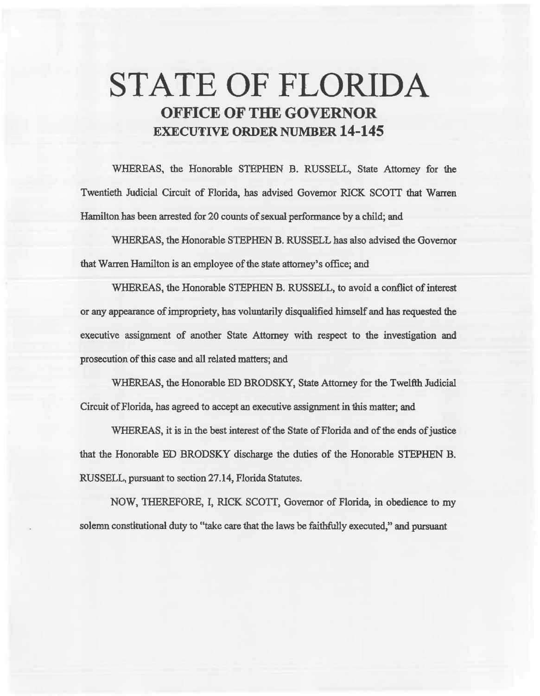# STATE OF FLORIDA OFFICE OF THE GOVERNOR EXECUTIVE ORDER NUMBER 14-145

WHEREAS, the Honorable STEPHEN B. RUSSELL, State Attorney for the Twentieth Judicial Circuit of Florida, *bas* advised Governor RICK *SCOTT* that Warren Hamilton has been arrested for 20 counts of sexual performance by a child; and

WHEREAS, the Honorable STEPHEN B. RUSSELL has also advised the Governor that Warren Hamilton is an employee of the state attorney's office; and

WHEREAS, the Honorable STEPHEN B. RUSSELL, to avoid a conflict of interest or any appearance of impropriety, has voluntarily disqualified himself and *bas* requested the executive assignment of another State Attorney with respect to 1he investigation and prosecution of this case and all related matters; and

WHEREAS, the Honorable ED BRODSKY, State Attorney for the Twelfth Judicial Circuit of Florida, has agreed to accept an execntive assignment in this matter; and

WHEREAS, it is in the best interest of the State of Florida and of the ends of justice that the Honorable BD BRODSKY discharge the duties of the Honorable STEPHEN B. RUSSELL, pursuant to section 27.14, Florida Statutes.

NOW, THEREFORE, I, RICK SCOTT, Governor of Florida, in obedience to my solemn constitutional duty to "take care that the laws be faithfully executed," and pursuant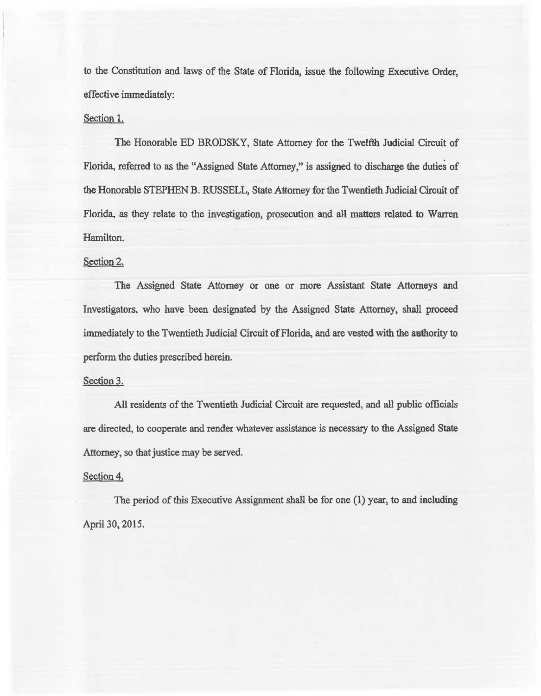to the Constitution and laws of the State of Florida, issue the following Executive Order, effective immediately:

## Section 1.

The Honorable ED BRODSKY, State Attorney for the Twelfth Judicial Circuit of Florida, referred to as the "Assigned State Attorney," is assigned to discharge the duties of the Honorable STEPHEN B. RUSSELL, State Attorney for the Twentieth Judicial Circuit of Florida, as they relate to the investigation, prosecution and all matters related to Warren Hamilton.

## Section 2.

The Assigned State Attorney or one or more Assistant State Attorneys and Investigators, who have been designated by the Assigned State Attorney, shall proceed immediately to the Twentieth Judicial Circuit of Florida, and are vested with the authority to perform the duties prescribed herein.

### Section 3.

All residents of the Twentieth Judicial Circuit are requested, and all public officials are directed, to cooperate and render whatever assistance is necessary to the Assigned State Attorney, so that justice may be served.

### Section 4.

The period of this Executive Assignment shall be for one (1) year, to and including Aprii 30, 2015.